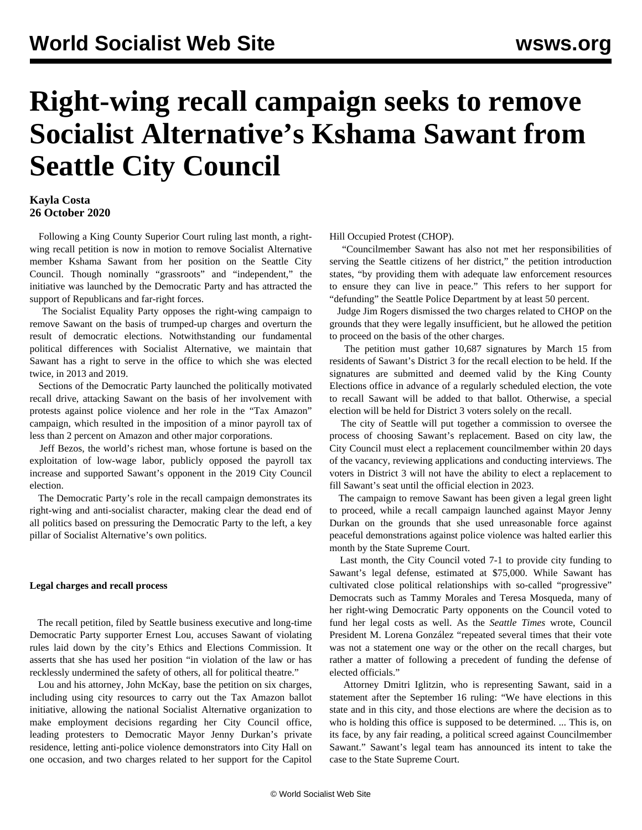# **Right-wing recall campaign seeks to remove Socialist Alternative's Kshama Sawant from Seattle City Council**

## **Kayla Costa 26 October 2020**

 Following a King County Superior Court ruling last month, a rightwing recall petition is now in motion to remove Socialist Alternative member Kshama Sawant from her position on the Seattle City Council. Though nominally "grassroots" and "independent," the initiative was launched by the Democratic Party and has attracted the support of Republicans and far-right forces.

 The Socialist Equality Party opposes the right-wing campaign to remove Sawant on the basis of trumped-up charges and overturn the result of democratic elections. Notwithstanding our fundamental political differences with Socialist Alternative, we maintain that Sawant has a right to serve in the office to which she was elected twice, in 2013 and 2019.

 Sections of the Democratic Party launched the politically motivated recall drive, attacking Sawant on the basis of her involvement with protests against police violence and her role in the "Tax Amazon" campaign, which resulted in the imposition of a minor payroll tax of less than 2 percent on Amazon and other major corporations.

 Jeff Bezos, the world's richest man, whose fortune is based on the exploitation of low-wage labor, publicly opposed the payroll tax increase and supported Sawant's opponent in the 2019 City Council election.

 The Democratic Party's role in the recall campaign demonstrates its right-wing and anti-socialist character, making clear the dead end of all politics based on pressuring the Democratic Party to the left, a key pillar of Socialist Alternative's own politics.

### **Legal charges and recall process**

 The recall petition, filed by Seattle business executive and long-time Democratic Party supporter Ernest Lou, accuses Sawant of violating rules laid down by the city's Ethics and Elections Commission. It asserts that she has used her position "in violation of the law or has recklessly undermined the safety of others, all for political theatre."

 Lou and his attorney, John McKay, base the petition on six charges, including using city resources to carry out the Tax Amazon ballot initiative, allowing the national Socialist Alternative organization to make employment decisions regarding her City Council office, leading protesters to Democratic Mayor Jenny Durkan's private residence, letting anti-police violence demonstrators into City Hall on one occasion, and two charges related to her support for the [Capitol](/en/articles/2020/07/02/seat-j02.html)

[Hill Occupied Protest](/en/articles/2020/07/02/seat-j02.html) (CHOP).

 "Councilmember Sawant has also not met her responsibilities of serving the Seattle citizens of her district," the petition introduction states, "by providing them with adequate law enforcement resources to ensure they can live in peace." This refers to her support for "defunding" the Seattle Police Department by at least 50 percent.

 Judge Jim Rogers dismissed the two charges related to CHOP on the grounds that they were legally insufficient, but he allowed the petition to proceed on the basis of the other charges.

 The petition must gather 10,687 signatures by March 15 from residents of Sawant's District 3 for the recall election to be held. If the signatures are submitted and deemed valid by the King County Elections office in advance of a regularly scheduled election, the vote to recall Sawant will be added to that ballot. Otherwise, a special election will be held for District 3 voters solely on the recall.

 The city of Seattle will put together a commission to oversee the process of choosing Sawant's replacement. Based on city law, the City Council must elect a replacement councilmember within 20 days of the vacancy, reviewing applications and conducting interviews. The voters in District 3 will not have the ability to elect a replacement to fill Sawant's seat until the official election in 2023.

 The campaign to remove Sawant has been given a legal green light to proceed, while a recall campaign launched against Mayor Jenny Durkan on the grounds that she used unreasonable force against peaceful demonstrations against police violence was halted earlier this month by the State Supreme Court.

 Last month, the City Council voted 7-1 to provide city funding to Sawant's legal defense, estimated at \$75,000. While Sawant has cultivated close political relationships with so-called "progressive" Democrats such as Tammy Morales and Teresa Mosqueda, many of her right-wing Democratic Party opponents on the Council voted to fund her legal costs as well. As the *Seattle Times* wrote, Council President M. Lorena González "repeated several times that their vote was not a statement one way or the other on the recall charges, but rather a matter of following a precedent of funding the defense of elected officials."

 Attorney Dmitri Iglitzin, who is representing Sawant, said in a statement after the September 16 ruling: "We have elections in this state and in this city, and those elections are where the decision as to who is holding this office is supposed to be determined. ... This is, on its face, by any fair reading, a political screed against Councilmember Sawant." Sawant's legal team has announced its intent to take the case to the State Supreme Court.